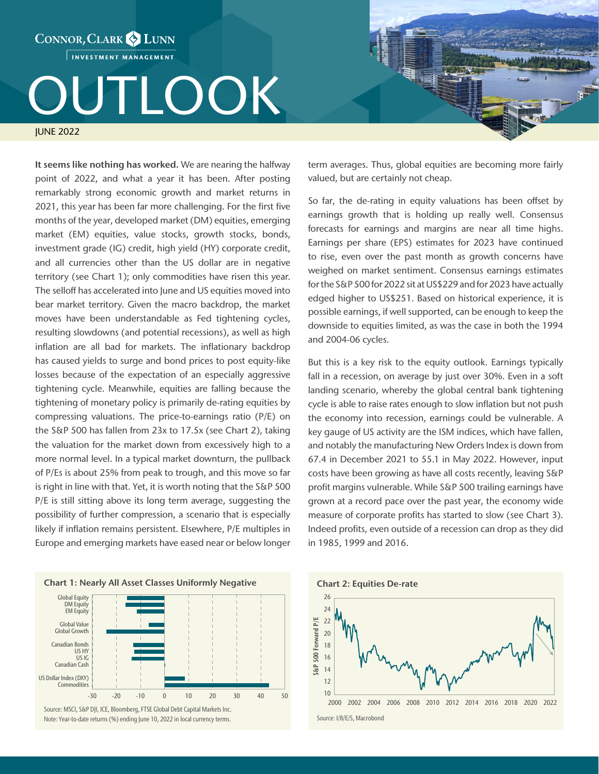## CONNOR, CLARK & LUNN INVESTMENT MANAGEMENT **DUTLOOK**

JUNE 2022

It seems like nothing has worked. We are nearing the halfway point of 2022, and what a year it has been. After posting remarkably strong economic growth and market returns in 2021, this year has been far more challenging. For the first five months of the year, developed market (DM) equities, emerging market (EM) equities, value stocks, growth stocks, bonds, investment grade (IG) credit, high yield (HY) corporate credit, and all currencies other than the US dollar are in negative territory (see Chart 1); only commodities have risen this year. The selloff has accelerated into June and US equities moved into bear market territory. Given the macro backdrop, the market moves have been understandable as Fed tightening cycles, resulting slowdowns (and potential recessions), as well as high inflation are all bad for markets. The inflationary backdrop has caused yields to surge and bond prices to post equity-like losses because of the expectation of an especially aggressive tightening cycle. Meanwhile, equities are falling because the tightening of monetary policy is primarily de-rating equities by compressing valuations. The price-to-earnings ratio (P/E) on the S&P 500 has fallen from 23x to 17.5x (see Chart 2), taking the valuation for the market down from excessively high to a more normal level. In a typical market downturn, the pullback of P/Es is about 25% from peak to trough, and this move so far is right in line with that. Yet, it is worth noting that the S&P 500 P/E is still sitting above its long term average, suggesting the possibility of further compression, a scenario that is especially likely if inflation remains persistent. Elsewhere, P/E multiples in Europe and emerging markets have eased near or below longer





term averages. Thus, global equities are becoming more fairly valued, but are certainly not cheap.

So far, the de-rating in equity valuations has been offset by earnings growth that is holding up really well. Consensus forecasts for earnings and margins are near all time highs. Earnings per share (EPS) estimates for 2023 have continued to rise, even over the past month as growth concerns have weighed on market sentiment. Consensus earnings estimates for the S&P 500 for 2022 sit at US\$229 and for 2023 have actually edged higher to US\$251. Based on historical experience, it is possible earnings, if well supported, can be enough to keep the downside to equities limited, as was the case in both the 1994 and 2004-06 cycles.

But this is a key risk to the equity outlook. Earnings typically fall in a recession, on average by just over 30%. Even in a soft landing scenario, whereby the global central bank tightening cycle is able to raise rates enough to slow inflation but not push the economy into recession, earnings could be vulnerable. A key gauge of US activity are the ISM indices, which have fallen, and notably the manufacturing New Orders Index is down from 67.4 in December 2021 to 55.1 in May 2022. However, input costs have been growing as have all costs recently, leaving S&P profit margins vulnerable. While S&P 500 trailing earnings have grown at a record pace over the past year, the economy wide measure of corporate profits has started to slow (see Chart 3). Indeed profits, even outside of a recession can drop as they did in 1985, 1999 and 2016.

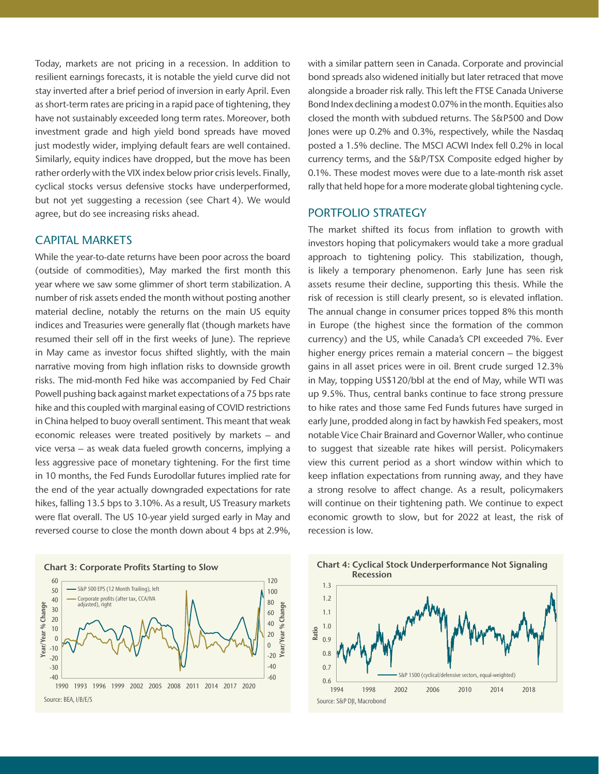Today, markets are not pricing in a recession. In addition to resilient earnings forecasts, it is notable the yield curve did not stay inverted after a brief period of inversion in early April. Even as short-term rates are pricing in a rapid pace of tightening, they have not sustainably exceeded long term rates. Moreover, both investment grade and high yield bond spreads have moved just modestly wider, implying default fears are well contained. Similarly, equity indices have dropped, but the move has been rather orderly with the VIX index below prior crisis levels. Finally, cyclical stocks versus defensive stocks have underperformed, but not yet suggesting a recession (see Chart 4). We would agree, but do see increasing risks ahead.

## CAPITAL MARKETS

While the year-to-date returns have been poor across the board (outside of commodities), May marked the first month this year where we saw some glimmer of short term stabilization. A number of risk assets ended the month without posting another material decline, notably the returns on the main US equity indices and Treasuries were generally flat (though markets have resumed their sell off in the first weeks of June). The reprieve in May came as investor focus shifted slightly, with the main narrative moving from high inflation risks to downside growth risks. The mid-month Fed hike was accompanied by Fed Chair Powell pushing back against market expectations of a 75 bps rate hike and this coupled with marginal easing of COVID restrictions in China helped to buoy overall sentiment. This meant that weak economic releases were treated positively by markets – and vice versa – as weak data fueled growth concerns, implying a less aggressive pace of monetary tightening. For the first time in 10 months, the Fed Funds Eurodollar futures implied rate for the end of the year actually downgraded expectations for rate hikes, falling 13.5 bps to 3.10%. As a result, US Treasury markets were flat overall. The US 10-year yield surged early in May and reversed course to close the month down about 4 bps at 2.9%,



with a similar pattern seen in Canada. Corporate and provincial bond spreads also widened initially but later retraced that move alongside a broader risk rally. This left the FTSE Canada Universe Bond Index declining a modest 0.07% in the month. Equities also closed the month with subdued returns. The S&P500 and Dow Jones were up 0.2% and 0.3%, respectively, while the Nasdaq posted a 1.5% decline. The MSCI ACWI Index fell 0.2% in local currency terms, and the S&P/TSX Composite edged higher by 0.1%. These modest moves were due to a late-month risk asset rally that held hope for a more moderate global tightening cycle.

## PORTFOLIO STRATEGY

The market shifted its focus from inflation to growth with investors hoping that policymakers would take a more gradual approach to tightening policy. This stabilization, though, is likely a temporary phenomenon. Early June has seen risk assets resume their decline, supporting this thesis. While the risk of recession is still clearly present, so is elevated inflation. The annual change in consumer prices topped 8% this month in Europe (the highest since the formation of the common currency) and the US, while Canada's CPI exceeded 7%. Ever higher energy prices remain a material concern – the biggest gains in all asset prices were in oil. Brent crude surged 12.3% in May, topping US\$120/bbl at the end of May, while WTI was up 9.5%. Thus, central banks continue to face strong pressure to hike rates and those same Fed Funds futures have surged in early June, prodded along in fact by hawkish Fed speakers, most notable Vice Chair Brainard and Governor Waller, who continue to suggest that sizeable rate hikes will persist. Policymakers view this current period as a short window within which to keep inflation expectations from running away, and they have a strong resolve to affect change. As a result, policymakers will continue on their tightening path. We continue to expect economic growth to slow, but for 2022 at least, the risk of recession is low.